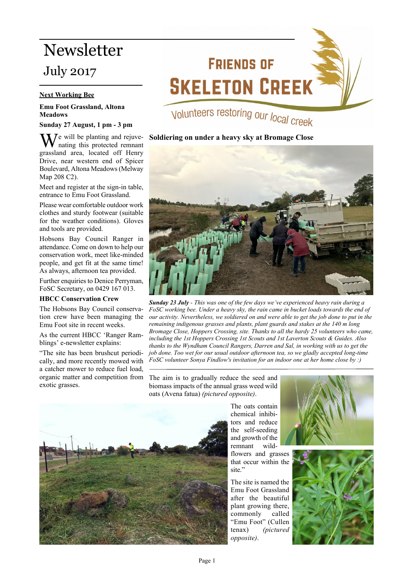# Newsletter

# July 2017

## **Next Working Bee**

#### **Emu Foot Grassland, Altona Meadows**

#### **Sunday 27 August, 1 pm - 3 pm**

 $\sum_{n=1}^{\infty} I$  vill be planting and rejuvenating this protected remnant grassland area, located off Henry Drive, near western end of Spicer Boulevard, Altona Meadows (Melway Map 208 C2).

Meet and register at the sign-in table, entrance to Emu Foot Grassland.

Please wear comfortable outdoor work clothes and sturdy footwear (suitable for the weather conditions). Gloves and tools are provided.

Hobsons Bay Council Ranger in attendance. Come on down to help our conservation work, meet like-minded people, and get fit at the same time! As always, afternoon tea provided.

Further enquiries to Denice Perryman, FoSC Secretary, on 0429 167 013.

#### **HBCC Conservation Crew**

The Hobsons Bay Council conservation crew have been managing the Emu Foot site in recent weeks.

As the current HBCC 'Ranger Ramblings' e-newsletter explains:

"The site has been brushcut periodically, and more recently mowed with a catcher mower to reduce fuel load, organic matter and competition from exotic grasses.

# **FRIENDS OF SKELETON CREEK**

# Volunteers restoring our local creek

### **Soldiering on under a heavy sky at Bromage Close**



*Sunday 23 July - This was one of the few days we've experienced heavy rain during a FoSC working bee. Under a heavy sky, the rain came in bucket loads towards the end of our activity. Nevertheless, we soldiered on and were able to get the job done to put in the remaining indigenous grasses and plants, plant guards and stakes at the 140 m long Bromage Close, Hoppers Crossing, site. Thanks to all the hardy 25 volunteers who came, including the 1st Hoppers Crossing 1st Scouts and 1st Laverton Scouts & Guides. Also thanks to the Wyndham Council Rangers, Darren and Sal, in working with us to get the job done. Too wet for our usual outdoor afternoon tea, so we gladly accepted long-time FoSC volunteer Sonya Findlow's invitation for an indoor one at her home close by :)*

The aim is to gradually reduce the seed and biomass impacts of the annual grass weed wild oats (Avena fatua) *(pictured opposite)*.



The oats contain chemical inhibitors and reduce the self-seeding and growth of the remnant wildflowers and grasses that occur within the site."

The site is named the Emu Foot Grassland after the beautiful plant growing there, commonly called "Emu Foot" (Cullen tenax) *(pictured opposite)*.